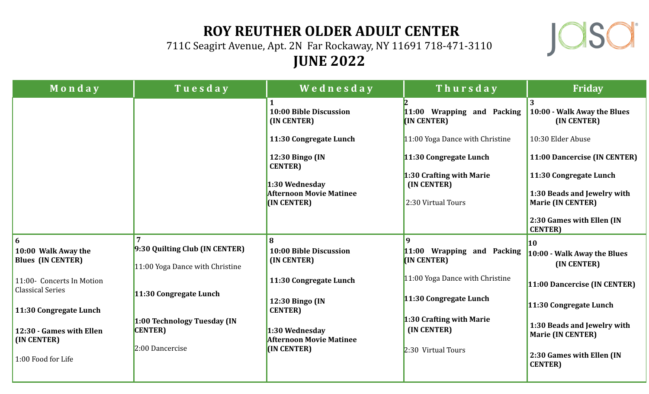## **ROY REUTHER OLDER ADULT CENTER**

711C Seagirt Avenue, Apt. 2N Far Rockaway, NY 11691 718-471-3110 **JUNE 2022**



| Monday                                               | Tuesday                                                           | Wednesday                                        | Thursday                                     | <b>Friday</b>                                           |
|------------------------------------------------------|-------------------------------------------------------------------|--------------------------------------------------|----------------------------------------------|---------------------------------------------------------|
|                                                      |                                                                   | 10:00 Bible Discussion<br>(IN CENTER)            | 11:00 Wrapping and Packing<br>(IN CENTER)    | 3<br>10:00 - Walk Away the Blues<br>(IN CENTER)         |
|                                                      |                                                                   | 11:30 Congregate Lunch                           | 11:00 Yoga Dance with Christine              | 10:30 Elder Abuse                                       |
|                                                      |                                                                   | 12:30 Bingo (IN<br><b>CENTER</b> )               | 11:30 Congregate Lunch                       | 11:00 Dancercise (IN CENTER)                            |
|                                                      |                                                                   | 1:30 Wednesday                                   | 1:30 Crafting with Marie<br>(IN CENTER)      | 11:30 Congregate Lunch                                  |
|                                                      |                                                                   | <b>Afternoon Movie Matinee</b><br>(IN CENTER)    | 2:30 Virtual Tours                           | 1:30 Beads and Jewelry with<br><b>Marie (IN CENTER)</b> |
|                                                      |                                                                   |                                                  |                                              | 2:30 Games with Ellen (IN<br><b>CENTER</b> )            |
| 6                                                    |                                                                   | 8                                                | 9                                            |                                                         |
| 10:00 Walk Away the<br><b>Blues (IN CENTER)</b>      | 9:30 Quilting Club (IN CENTER)<br>11:00 Yoga Dance with Christine | 10:00 Bible Discussion<br>(IN CENTER)            | 11:00 Wrapping and Packing<br>(IN CENTER)    | 10:00 - Walk Away the Blues<br>(IN CENTER)              |
| 11:00- Concerts In Motion<br><b>Classical Series</b> |                                                                   | 11:30 Congregate Lunch                           | 11:00 Yoga Dance with Christine              | 11:00 Dancercise (IN CENTER)                            |
| 11:30 Congregate Lunch                               | 11:30 Congregate Lunch                                            | 12:30 Bingo (IN<br><b>CENTER</b> )               | 11:30 Congregate Lunch                       | 11:30 Congregate Lunch                                  |
|                                                      | 1:00 Technology Tuesday (IN                                       |                                                  | 1:30 Crafting with Marie                     | 1:30 Beads and Jewelry with                             |
| 12:30 - Games with Ellen<br>(IN CENTER)              | <b>CENTER</b> )                                                   | 1:30 Wednesday<br><b>Afternoon Movie Matinee</b> | (IN CENTER)                                  | <b>Marie (IN CENTER)</b>                                |
| 2:00 Dancercise<br>1:00 Food for Life                | (IN CENTER)                                                       | 2:30 Virtual Tours                               | 2:30 Games with Ellen (IN<br><b>CENTER</b> ) |                                                         |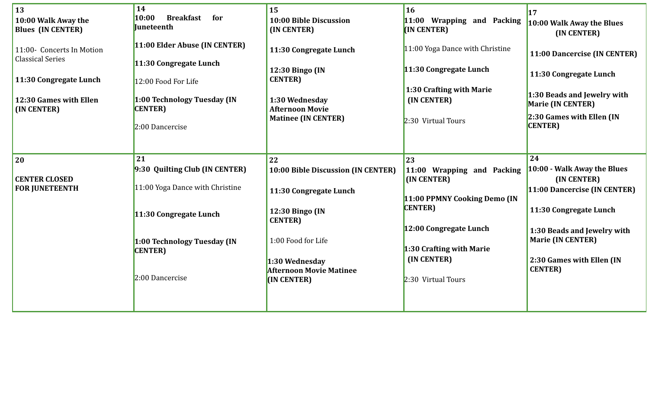| 13<br>10:00 Walk Away the<br><b>Blues (IN CENTER)</b><br>11:00- Concerts In Motion<br><b>Classical Series</b><br>11:30 Congregate Lunch | 14<br>10:00<br><b>Breakfast</b><br>for<br><b>Juneteenth</b><br>11:00 Elder Abuse (IN CENTER)<br>11:30 Congregate Lunch<br>12:00 Food For Life | 15<br>10:00 Bible Discussion<br>(IN CENTER)<br>11:30 Congregate Lunch<br>12:30 Bingo (IN<br><b>CENTER</b> ) | 16<br>11:00 Wrapping and Packing<br>(IN CENTER)<br>11:00 Yoga Dance with Christine<br>11:30 Congregate Lunch<br>1:30 Crafting with Marie | <b>17</b><br>10:00 Walk Away the Blues<br>(IN CENTER)<br>11:00 Dancercise (IN CENTER)<br>11:30 Congregate Lunch<br>1:30 Beads and Jewelry with |
|-----------------------------------------------------------------------------------------------------------------------------------------|-----------------------------------------------------------------------------------------------------------------------------------------------|-------------------------------------------------------------------------------------------------------------|------------------------------------------------------------------------------------------------------------------------------------------|------------------------------------------------------------------------------------------------------------------------------------------------|
| 12:30 Games with Ellen<br>(IN CENTER)                                                                                                   | 1:00 Technology Tuesday (IN<br><b>CENTER</b> )<br>2:00 Dancercise                                                                             | 1:30 Wednesday<br><b>Afternoon Movie</b><br><b>Matinee (IN CENTER)</b>                                      | (IN CENTER)<br>2:30 Virtual Tours                                                                                                        | Marie (IN CENTER)<br>2:30 Games with Ellen (IN<br><b>CENTER</b> )                                                                              |
| <b>20</b>                                                                                                                               | 21                                                                                                                                            | 22                                                                                                          | 23                                                                                                                                       | 24                                                                                                                                             |
| <b>CENTER CLOSED</b>                                                                                                                    | 9:30 Quilting Club (IN CENTER)                                                                                                                | 10:00 Bible Discussion (IN CENTER)                                                                          | 11:00 Wrapping and Packing<br>(IN CENTER)                                                                                                | 10:00 - Walk Away the Blues<br>(IN CENTER)                                                                                                     |
| <b>FOR JUNETEENTH</b>                                                                                                                   | 11:00 Yoga Dance with Christine                                                                                                               | 11:30 Congregate Lunch                                                                                      |                                                                                                                                          | 11:00 Dancercise (IN CENTER)                                                                                                                   |
|                                                                                                                                         | 11:30 Congregate Lunch                                                                                                                        | 12:30 Bingo (IN<br><b>CENTER</b> )                                                                          | 11:00 PPMNY Cooking Demo (IN<br><b>CENTER</b> )                                                                                          | 11:30 Congregate Lunch                                                                                                                         |
|                                                                                                                                         | 1:00 Technology Tuesday (IN<br><b>CENTER</b> )                                                                                                | 1:00 Food for Life                                                                                          | 12:00 Congregate Lunch<br>1:30 Crafting with Marie                                                                                       | 1:30 Beads and Jewelry with<br><b>Marie (IN CENTER)</b>                                                                                        |
|                                                                                                                                         | $2:00$ Dancercise                                                                                                                             | 1:30 Wednesday<br><b>Afternoon Movie Matinee</b><br>(IN CENTER)                                             | (IN CENTER)<br>2:30 Virtual Tours                                                                                                        | 2:30 Games with Ellen (IN<br><b>CENTER</b> )                                                                                                   |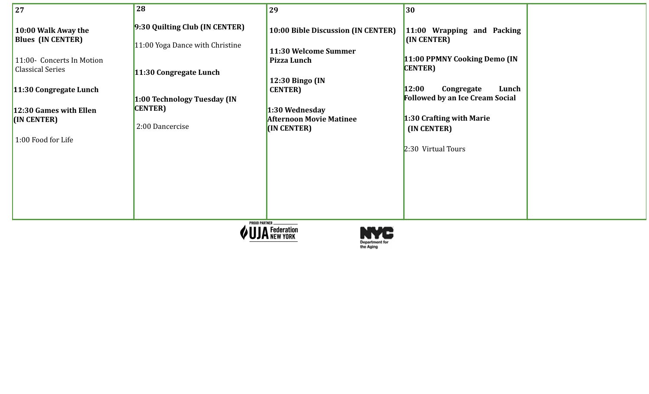| 9:30 Quilting Club (IN CENTER)<br>10:00 Bible Discussion (IN CENTER)<br>10:00 Walk Away the<br>11:00 Wrapping and Packing<br><b>Blues (IN CENTER)</b><br>(IN CENTER)<br>11:00 Yoga Dance with Christine<br>11:30 Welcome Summer<br>11:00 PPMNY Cooking Demo (IN<br>Pizza Lunch<br>11:00- Concerts In Motion<br><b>CENTER</b><br><b>Classical Series</b><br>11:30 Congregate Lunch<br>12:30 Bingo (IN<br>12:00<br>Lunch<br>Congregate<br>11:30 Congregate Lunch<br><b>CENTER</b> )<br><b>Followed by an Ice Cream Social</b><br>1:00 Technology Tuesday (IN<br><b>CENTER</b><br>12:30 Games with Ellen<br>1:30 Wednesday<br>1:30 Crafting with Marie<br><b>Afternoon Movie Matinee</b><br>(IN CENTER)<br>2:00 Dancercise<br>(IN CENTER)<br>(IN CENTER)<br>1:00 Food for Life<br>2:30 Virtual Tours | 27 | 28 | 29 | 30 |  |
|---------------------------------------------------------------------------------------------------------------------------------------------------------------------------------------------------------------------------------------------------------------------------------------------------------------------------------------------------------------------------------------------------------------------------------------------------------------------------------------------------------------------------------------------------------------------------------------------------------------------------------------------------------------------------------------------------------------------------------------------------------------------------------------------------|----|----|----|----|--|
| <b>PROUD PARTNER</b>                                                                                                                                                                                                                                                                                                                                                                                                                                                                                                                                                                                                                                                                                                                                                                              |    |    |    |    |  |



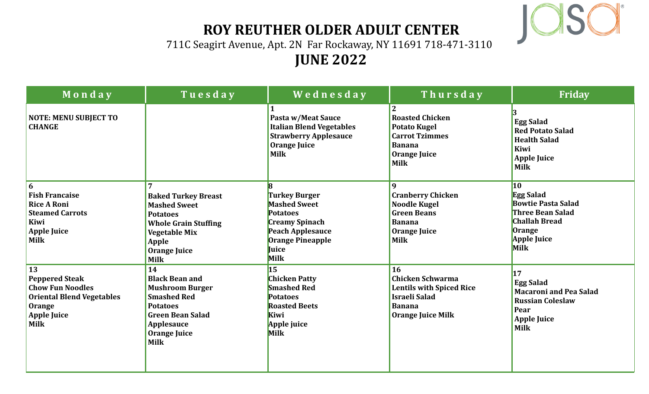

## **ROY REUTHER OLDER ADULT CENTER**

711C Seagirt Avenue, Apt. 2N Far Rockaway, NY 11691 718-471-3110

## **JUNE 2022**

| Monday                                                                                                                                    | Tuesday                                                                                                                                                                       | Wednesday                                                                                                                                        | Thursday                                                                                                                              | Friday                                                                                                                                                       |
|-------------------------------------------------------------------------------------------------------------------------------------------|-------------------------------------------------------------------------------------------------------------------------------------------------------------------------------|--------------------------------------------------------------------------------------------------------------------------------------------------|---------------------------------------------------------------------------------------------------------------------------------------|--------------------------------------------------------------------------------------------------------------------------------------------------------------|
| <b>NOTE: MENU SUBJECT TO</b><br><b>CHANGE</b>                                                                                             |                                                                                                                                                                               | Pasta w/Meat Sauce<br><b>Italian Blend Vegetables</b><br><b>Strawberry Applesauce</b><br>Orange Juice<br><b>Milk</b>                             | <b>Roasted Chicken</b><br><b>Potato Kugel</b><br><b>Carrot Tzimmes</b><br><b>Banana</b><br><b>Orange Juice</b><br><b>Milk</b>         | <b>Egg Salad</b><br><b>Red Potato Salad</b><br><b>Health Salad</b><br>Kiwi<br><b>Apple Juice</b><br><b>Milk</b>                                              |
| 6<br><b>Fish Francaise</b><br><b>Rice A Roni</b><br><b>Steamed Carrots</b><br>Kiwi<br><b>Apple Juice</b><br><b>Milk</b>                   | <b>Baked Turkey Breast</b><br><b>Mashed Sweet</b><br><b>Potatoes</b><br><b>Whole Grain Stuffing</b><br><b>Vegetable Mix</b><br>Apple<br>Orange Juice<br><b>Milk</b>           | <b>Turkey Burger</b><br><b>Mashed Sweet</b><br><b>Potatoes</b><br><b>Creamy Spinach</b><br>Peach Applesauce<br>Orange Pineapple<br>Juice<br>Milk | <b>Cranberry Chicken</b><br><b>Noodle Kugel</b><br><b>Green Beans</b><br><b>Banana</b><br><b>Orange Juice</b><br><b>Milk</b>          | <b>10</b><br><b>Egg Salad</b><br><b>Bowtie Pasta Salad</b><br><b>Three Bean Salad</b><br><b>Challah Bread</b><br><b>Orange</b><br><b>Apple Juice</b><br>Milk |
| 13<br><b>Peppered Steak</b><br><b>Chow Fun Noodles</b><br><b>Oriental Blend Vegetables</b><br>Orange<br><b>Apple Juice</b><br><b>Milk</b> | 14<br><b>Black Bean and</b><br><b>Mushroom Burger</b><br><b>Smashed Red</b><br><b>Potatoes</b><br><b>Green Bean Salad</b><br>Applesauce<br><b>Orange Juice</b><br><b>Milk</b> | $\overline{15}$<br><b>Chicken Patty</b><br><b>Smashed Red</b><br><b>Potatoes</b><br><b>Roasted Beets</b><br>Kiwi<br>Apple juice<br><b>Milk</b>   | 16<br><b>Chicken Schwarma</b><br><b>Lentils with Spiced Rice</b><br><b>Israeli Salad</b><br><b>Banana</b><br><b>Orange Juice Milk</b> | 17<br><b>Egg Salad</b><br><b>Macaroni and Pea Salad</b><br><b>Russian Coleslaw</b><br>Pear<br><b>Apple Juice</b><br><b>Milk</b>                              |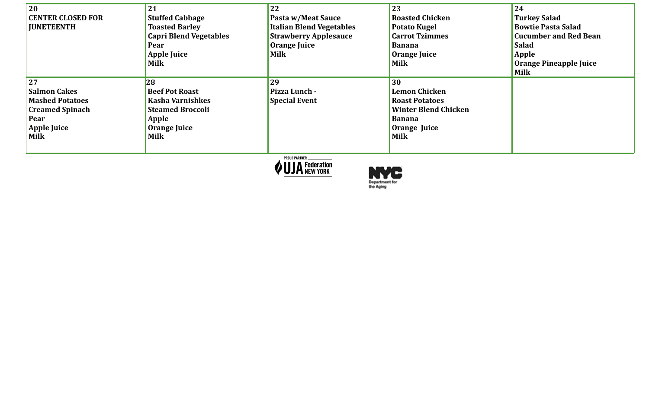| 20<br><b>CENTER CLOSED FOR</b><br><b>JUNETEENTH</b>                                                                 | 21<br><b>Stuffed Cabbage</b><br><b>Toasted Barley</b><br><b>Capri Blend Vegetables</b><br>Pear<br><b>Apple Juice</b><br>Milk | 22<br>Pasta w/Meat Sauce<br><b>Italian Blend Vegetables</b><br><b>Strawberry Applesauce</b><br>Orange Juice<br><b>Milk</b> | 23<br><b>Roasted Chicken</b><br><b>Potato Kugel</b><br><b>Carrot Tzimmes</b><br><b>Banana</b><br>Orange Juice<br><b>Milk</b>       | 24<br><b>Turkey Salad</b><br><b>Bowtie Pasta Salad</b><br><b>Cucumber and Red Bean</b><br><b>Salad</b><br>Apple<br>Orange Pineapple Juice<br><b>Milk</b> |
|---------------------------------------------------------------------------------------------------------------------|------------------------------------------------------------------------------------------------------------------------------|----------------------------------------------------------------------------------------------------------------------------|------------------------------------------------------------------------------------------------------------------------------------|----------------------------------------------------------------------------------------------------------------------------------------------------------|
| 27<br><b>Salmon Cakes</b><br><b>Mashed Potatoes</b><br><b>Creamed Spinach</b><br>Pear<br><b>Apple Juice</b><br>Milk | 28<br><b>Beef Pot Roast</b><br>Kasha Varnishkes<br><b>Steamed Broccoli</b><br>Apple<br>Orange Juice<br><b>Milk</b>           | 29<br>Pizza Lunch -<br><b>Special Event</b>                                                                                | 30<br><b>Lemon Chicken</b><br><b>Roast Potatoes</b><br><b>Winter Blend Chicken</b><br><b>Banana</b><br>Orange Juice<br><b>Milk</b> |                                                                                                                                                          |